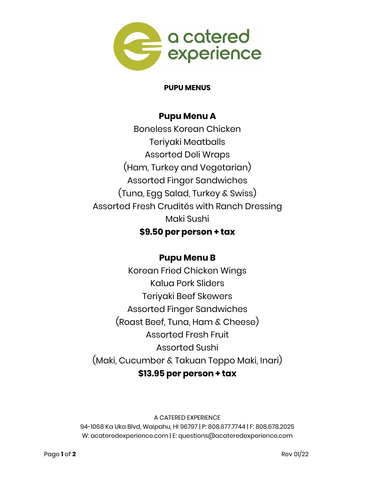

### **PUPU MENUS**

## **Pupu Menu A**

Boneless Korean Chicken Teriyaki Meatballs Assorted Deli Wraps (Ham, Turkey and Vegetarian) Assorted Finger Sandwiches (Tuna, Egg Salad, Turkey & Swiss) Assorted Fresh Crudités with Ranch Dressing Maki Sushi **\$9.50 per person + tax**

# **Pupu Menu B**

Korean Fried Chicken Wings Kalua Pork Sliders Teriyaki Beef Skewers Assorted Finger Sandwiches (Roast Beef, Tuna, Ham & Cheese) Assorted Fresh Fruit Assorted Sushi (Maki, Cucumber & Takuan Teppo Maki, Inari) **\$13.95 per person + tax**

#### A CATERED EXPERIENCE

94-1068 Ka Uka Blvd, Waipahu, HI 96797 | P: 808.677.7744 | F: 808.678.2025 W: acateredexperience.com | E: questions@acateredexperience.com